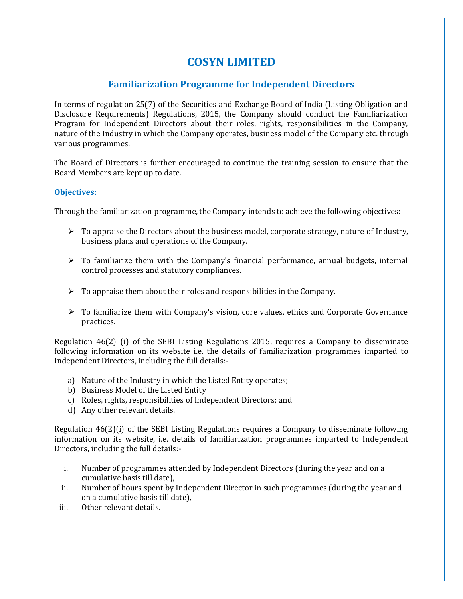# **COSYN LIMITED**

# **Familiarization Programme for Independent Directors**

In terms of regulation 25(7) of the Securities and Exchange Board of India (Listing Obligation and Disclosure Requirements) Regulations, 2015, the Company should conduct the Familiarization Program for Independent Directors about their roles, rights, responsibilities in the Company, nature of the Industry in which the Company operates, business model of the Company etc. through various programmes.

The Board of Directors is further encouraged to continue the training session to ensure that the Board Members are kept up to date.

## **Objectives:**

Through the familiarization programme, the Company intends to achieve the following objectives:

- $\triangleright$  To appraise the Directors about the business model, corporate strategy, nature of Industry, business plans and operations of the Company.
- $\triangleright$  To familiarize them with the Company's financial performance, annual budgets, internal control processes and statutory compliances.
- $\triangleright$  To appraise them about their roles and responsibilities in the Company.
- $\triangleright$  To familiarize them with Company's vision, core values, ethics and Corporate Governance practices.

Regulation 46(2) (i) of the SEBI Listing Regulations 2015, requires a Company to disseminate following information on its website i.e. the details of familiarization programmes imparted to Independent Directors, including the full details:-

- a) Nature of the Industry in which the Listed Entity operates;
- b) Business Model of the Listed Entity
- c) Roles, rights, responsibilities of Independent Directors; and
- d) Any other relevant details.

Regulation 46(2)(i) of the SEBI Listing Regulations requires a Company to disseminate following information on its website, i.e. details of familiarization programmes imparted to Independent Directors, including the full details:-

- i. Number of programmes attended by Independent Directors (during the year and on a cumulative basis till date),
- ii. Number of hours spent by Independent Director in such programmes (during the year and on a cumulative basis till date),
- iii. Other relevant details.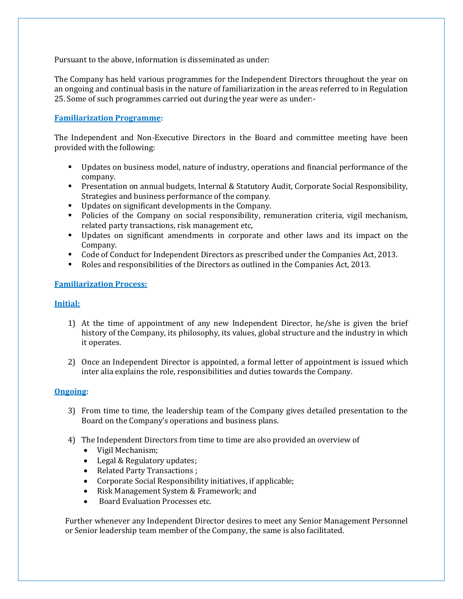Pursuant to the above, information is disseminated as under:

The Company has held various programmes for the Independent Directors throughout the year on an ongoing and continual basis in the nature of familiarization in the areas referred to in Regulation 25. Some of such programmes carried out during the year were as under:-

# **Familiarization Programme:**

The Independent and Non-Executive Directors in the Board and committee meeting have been provided with the following:

- Updates on business model, nature of industry, operations and financial performance of the company.
- **Presentation on annual budgets, Internal & Statutory Audit, Corporate Social Responsibility,** Strategies and business performance of the company.
- Updates on significant developments in the Company.
- Policies of the Company on social responsibility, remuneration criteria, vigil mechanism, related party transactions, risk management etc,
- Updates on significant amendments in corporate and other laws and its impact on the Company.
- Code of Conduct for Independent Directors as prescribed under the Companies Act, 2013.
- Roles and responsibilities of the Directors as outlined in the Companies Act, 2013.

## **Familiarization Process:**

## **Initial:**

- 1) At the time of appointment of any new Independent Director, he/she is given the brief history of the Company, its philosophy, its values, global structure and the industry in which it operates.
- 2) Once an Independent Director is appointed, a formal letter of appointment is issued which inter alia explains the role, responsibilities and duties towards the Company.

## **Ongoing:**

- 3) From time to time, the leadership team of the Company gives detailed presentation to the Board on the Company's operations and business plans.
- 4) The Independent Directors from time to time are also provided an overview of
	- Vigil Mechanism;
	- Legal & Regulatory updates;
	- Related Party Transactions ;
	- Corporate Social Responsibility initiatives, if applicable;
	- Risk Management System & Framework; and
	- Board Evaluation Processes etc.

Further whenever any Independent Director desires to meet any Senior Management Personnel or Senior leadership team member of the Company, the same is also facilitated.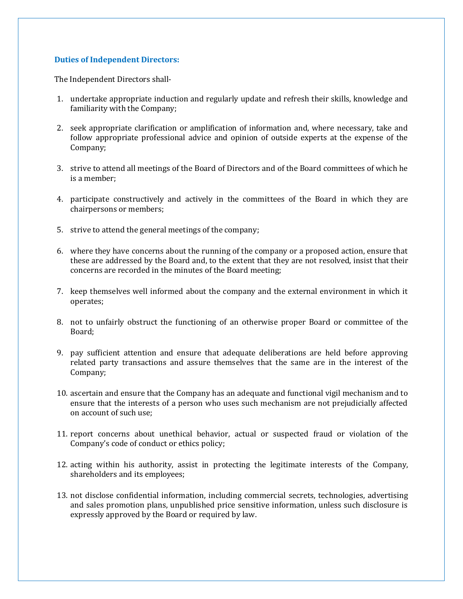### **Duties of Independent Directors:**

The Independent Directors shall-

- 1. undertake appropriate induction and regularly update and refresh their skills, knowledge and familiarity with the Company;
- 2. seek appropriate clarification or amplification of information and, where necessary, take and follow appropriate professional advice and opinion of outside experts at the expense of the Company;
- 3. strive to attend all meetings of the Board of Directors and of the Board committees of which he is a member;
- 4. participate constructively and actively in the committees of the Board in which they are chairpersons or members;
- 5. strive to attend the general meetings of the company;
- 6. where they have concerns about the running of the company or a proposed action, ensure that these are addressed by the Board and, to the extent that they are not resolved, insist that their concerns are recorded in the minutes of the Board meeting;
- 7. keep themselves well informed about the company and the external environment in which it operates;
- 8. not to unfairly obstruct the functioning of an otherwise proper Board or committee of the Board;
- 9. pay sufficient attention and ensure that adequate deliberations are held before approving related party transactions and assure themselves that the same are in the interest of the Company;
- 10. ascertain and ensure that the Company has an adequate and functional vigil mechanism and to ensure that the interests of a person who uses such mechanism are not prejudicially affected on account of such use;
- 11. report concerns about unethical behavior, actual or suspected fraud or violation of the Company's code of conduct or ethics policy;
- 12. acting within his authority, assist in protecting the legitimate interests of the Company, shareholders and its employees;
- 13. not disclose confidential information, including commercial secrets, technologies, advertising and sales promotion plans, unpublished price sensitive information, unless such disclosure is expressly approved by the Board or required by law.